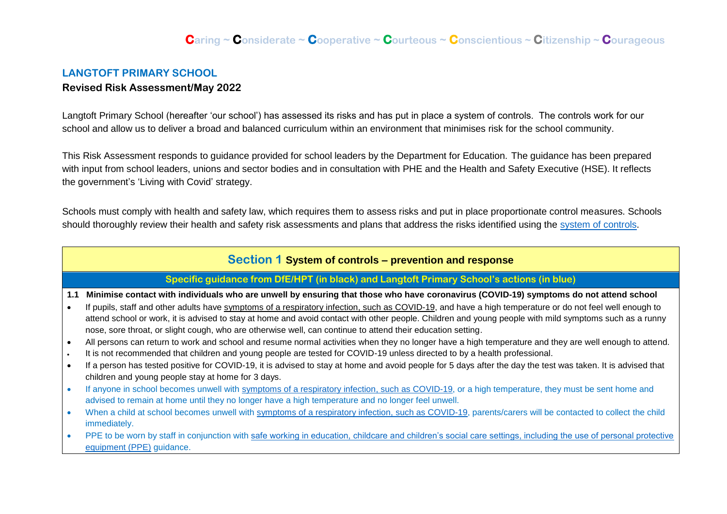## **LANGTOFT PRIMARY SCHOOL Revised Risk Assessment/May 2022**

Langtoft Primary School (hereafter 'our school') has assessed its risks and has put in place a system of controls. The controls work for our school and allow us to deliver a broad and balanced curriculum within an environment that minimises risk for the school community.

This Risk Assessment responds to guidance provided for school leaders by the Department for Education. The guidance has been prepared with input from school leaders, unions and sector bodies and in consultation with PHE and the Health and Safety Executive (HSE). It reflects the government's 'Living with Covid' strategy.

Schools must comply with health and safety law, which requires them to assess risks and put in place proportionate control measures. Schools should thoroughly review their health and safety risk assessments and plans that address the risks identified using the [system of controls.](https://www.gov.uk/government/publications/actions-for-schools-during-the-coronavirus-outbreak/guidance-for-full-opening-schools#soc)

## **Section 1 System of controls – prevention and response**

## **Specific guidance from DfE/HPT (in black) and Langtoft Primary School's actions (in blue)**

**1.1 Minimise contact with individuals who are unwell by ensuring that those who have coronavirus (COVID-19) symptoms do not attend school**

- If pupils, staff and other adults have [symptoms of a respiratory infection, such as COVID-19,](https://www.gov.uk/guidance/people-with-symptoms-of-a-respiratory-infection-including-covid-19) and have a high temperature or do not feel well enough to attend school or work, it is advised to stay at home and avoid contact with other people. Children and young people with mild symptoms such as a runny nose, sore throat, or slight cough, who are otherwise well, can continue to attend their education setting.
- All persons can return to work and school and resume normal activities when they no longer have a high temperature and they are well enough to attend.
- It is not recommended that children and young people are tested for COVID-19 unless directed to by a health professional.
- If a person has tested positive for COVID-19, it is advised to stay at home and avoid people for 5 days after the day the test was taken. It is advised that children and young people stay at home for 3 days.
- If anyone in school becomes unwell with [symptoms of a respiratory infection, such as COVID-19,](https://www.gov.uk/guidance/people-with-symptoms-of-a-respiratory-infection-including-covid-19) or a high temperature, they must be sent home and advised to remain at home until they no longer have a high temperature and no longer feel unwell.
- When a child at school becomes unwell with [symptoms of a respiratory infection, such as COVID-19,](https://www.gov.uk/guidance/people-with-symptoms-of-a-respiratory-infection-including-covid-19) parents/carers will be contacted to collect the child immediately.
- PPE to be worn by staff in conjunction with safe working in education, childcare and children's social care settings, including the use of personal protective [equipment \(PPE\)](https://www.gov.uk/government/publications/safe-working-in-education-childcare-and-childrens-social-care/safe-working-in-education-childcare-and-childrens-social-care-settings-including-the-use-of-personal-protective-equipment-ppe) guidance.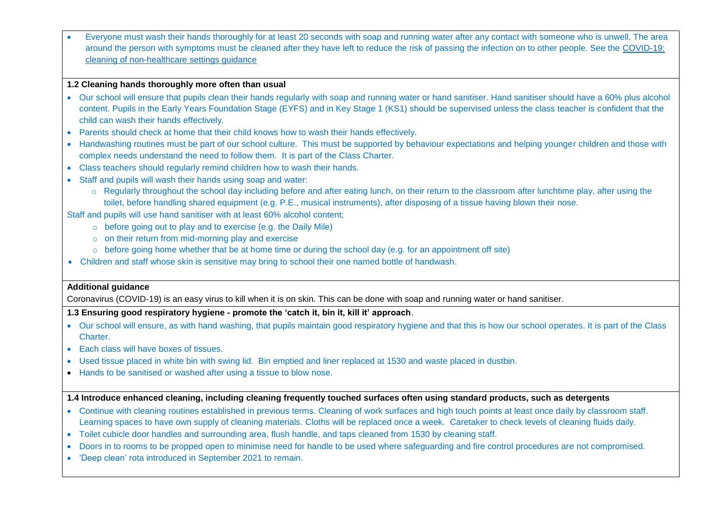• Everyone must wash their hands thoroughly for at least 20 seconds with soap and running water after any contact with someone who is unwell. The area around the person with symptoms must be cleaned after they have left to reduce the risk of passing the infection on to other people. See the [COVID-19:](https://www.gov.uk/government/publications/covid-19-decontamination-in-non-healthcare-settings)  [cleaning of non-healthcare settings guidance](https://www.gov.uk/government/publications/covid-19-decontamination-in-non-healthcare-settings)

### **1.2 Cleaning hands thoroughly more often than usual**

- Our school will ensure that pupils clean their hands regularly with soap and running water or hand sanitiser. Hand sanitiser should have a 60% plus alcohol content. Pupils in the Early Years Foundation Stage (EYFS) and in Key Stage 1 (KS1) should be supervised unless the class teacher is confident that the child can wash their hands effectively.
- Parents should check at home that their child knows how to wash their hands effectively.
- Handwashing routines must be part of our school culture. This must be supported by behaviour expectations and helping younger children and those with complex needs understand the need to follow them. It is part of the Class Charter.
- Class teachers should regularly remind children how to wash their hands.
- Staff and pupils will wash their hands using soap and water:
	- o Regularly throughout the school day including before and after eating lunch, on their return to the classroom after lunchtime play, after using the toilet, before handling shared equipment (e.g. P.E., musical instruments), after disposing of a tissue having blown their nose.

Staff and pupils will use hand sanitiser with at least 60% alcohol content;

- $\circ$  before going out to play and to exercise (e.g. the Daily Mile)
- $\circ$  on their return from mid-morning play and exercise
- o before going home whether that be at home time or during the school day (e.g. for an appointment off site)
- Children and staff whose skin is sensitive may bring to school their one named bottle of handwash.

#### **Additional guidance**

Coronavirus (COVID-19) is an easy virus to kill when it is on skin. This can be done with soap and running water or hand sanitiser.

## **1.3 Ensuring good respiratory hygiene - promote the 'catch it, bin it, kill it' approach**.

- Our school will ensure, as with hand washing, that pupils maintain good respiratory hygiene and that this is how our school operates. It is part of the Class Charter.
- Each class will have boxes of tissues.
- Used tissue placed in white bin with swing lid. Bin emptied and liner replaced at 1530 and waste placed in dustbin.
- Hands to be sanitised or washed after using a tissue to blow nose.

## **1.4 Introduce enhanced cleaning, including cleaning frequently touched surfaces often using standard products, such as detergents**

- Continue with cleaning routines established in previous terms. Cleaning of work surfaces and high touch points at least once daily by classroom staff. Learning spaces to have own supply of cleaning materials. Cloths will be replaced once a week. Caretaker to check levels of cleaning fluids daily.
- Toilet cubicle door handles and surrounding area, flush handle, and taps cleaned from 1530 by cleaning staff.
- Doors in to rooms to be propped open to minimise need for handle to be used where safeguarding and fire control procedures are not compromised.
- 'Deep clean' rota introduced in September 2021 to remain.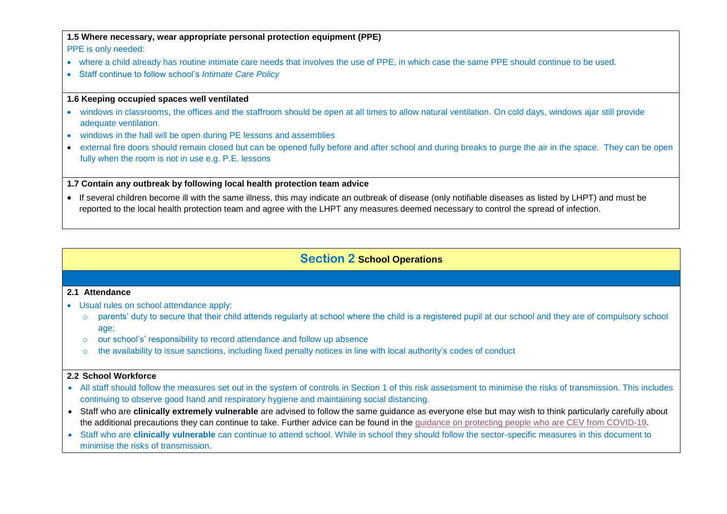## **1.5 Where necessary, wear appropriate personal protection equipment (PPE)**

PPE is only needed:

- where a child already has routine intimate care needs that involves the use of PPE, in which case the same PPE should continue to be used.
- Staff continue to follow school's *Intimate Care Policy*

## **1.6 Keeping occupied spaces well ventilated**

- windows in classrooms, the offices and the staffroom should be open at all times to allow natural ventilation. On cold days, windows ajar still provide adequate ventilation.
- windows in the hall will be open during PE lessons and assemblies
- external fire doors should remain closed but can be opened fully before and after school and during breaks to purge the air in the space. They can be open fully when the room is not in use e.g. P.E. lessons

## **1.7 Contain any outbreak by following local health protection team advice**

• If several children become ill with the same illness, this may indicate an outbreak of disease (only notifiable diseases as listed by LHPT) and must be reported to the local health protection team and agree with the LHPT any measures deemed necessary to control the spread of infection.

# **Section 2 School Operations**

## **2.1 Attendance**

- Usual rules on school attendance apply:
	- o parents' duty to secure that their child attends regularly at school where the child is a registered pupil at our school and they are of compulsory school age;
	- o our school's' responsibility to record attendance and follow up absence
	- $\circ$  the availability to issue sanctions, including fixed penalty notices in line with local authority's codes of conduct

## **2.2 School Workforce**

- All staff should follow the measures set out in the system of controls in Section 1 of this risk assessment to minimise the risks of transmission. This includes continuing to observe good hand and respiratory hygiene and maintaining social distancing.
- Staff who are **clinically extremely vulnerable** are advised to follow the same guidance as everyone else but may wish to think particularly carefully about the additional precautions they can continue to take. Further advice can be found in the guidance on protecting people who are CEV from [COVID-19.](https://www.gov.uk/government/publications/guidance-on-shielding-and-protecting-extremely-vulnerable-persons-from-covid-19/19-july-guidance-on-protecting-people-who-are-clinically-extremely-vulnerable-from-covid-19)
- Staff who are **clinically vulnerable** can continue to attend school. While in school they should follow the sector-specific measures in this document to minimise the risks of transmission.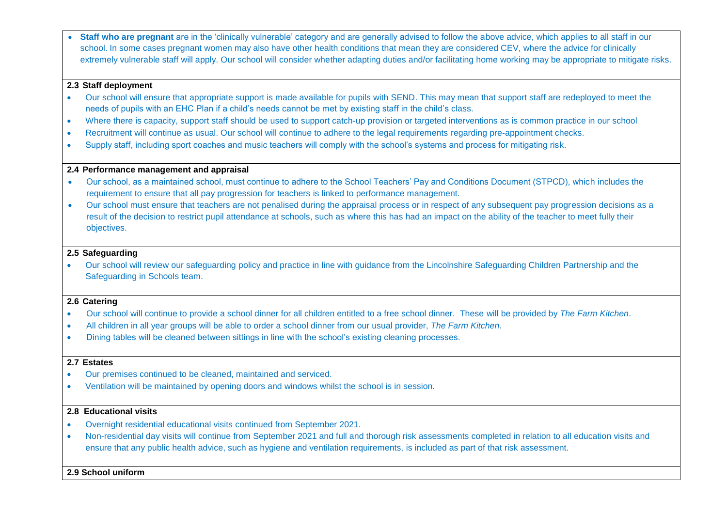**Staff who are pregnant** are in the 'clinically vulnerable' category and are generally advised to follow the above advice, which applies to all staff in our school. In some cases pregnant women may also have other health conditions that mean they are considered CEV, where the advice for clinically extremely vulnerable staff will apply. Our school will consider whether adapting duties and/or facilitating home working may be appropriate to mitigate risks.

### **2.3 Staff deployment**

- Our school will ensure that appropriate support is made available for pupils with SEND. This may mean that support staff are redeployed to meet the needs of pupils with an EHC Plan if a child's needs cannot be met by existing staff in the child's class.
- Where there is capacity, support staff should be used to support catch-up provision or targeted interventions as is common practice in our school
- Recruitment will continue as usual. Our school will continue to adhere to the legal requirements regarding pre-appointment checks.
- Supply staff, including sport coaches and music teachers will comply with the school's systems and process for mitigating risk.

## **2.4 Performance management and appraisal**

- Our school, as a maintained school, must continue to adhere to the School Teachers' Pay and Conditions Document (STPCD), which includes the requirement to ensure that all pay progression for teachers is linked to performance management.
- Our school must ensure that teachers are not penalised during the appraisal process or in respect of any subsequent pay progression decisions as a result of the decision to restrict pupil attendance at schools, such as where this has had an impact on the ability of the teacher to meet fully their objectives.

### **2.5 Safeguarding**

• Our school will review our safeguarding policy and practice in line with guidance from the Lincolnshire Safeguarding Children Partnership and the Safeguarding in Schools team.

#### **2.6 Catering**

- Our school will continue to provide a school dinner for all children entitled to a free school dinner. These will be provided by *The Farm Kitchen*.
- All children in all year groups will be able to order a school dinner from our usual provider, *The Farm Kitchen.*
- Dining tables will be cleaned between sittings in line with the school's existing cleaning processes.

#### **2.7 Estates**

- Our premises continued to be cleaned, maintained and serviced.
- Ventilation will be maintained by opening doors and windows whilst the school is in session.

## **2.8 Educational visits**

- Overnight residential educational visits continued from September 2021.
- Non-residential day visits will continue from September 2021 and full and thorough risk assessments completed in relation to all education visits and ensure that any public health advice, such as hygiene and ventilation requirements, is included as part of that risk assessment.

## **2.9 School uniform**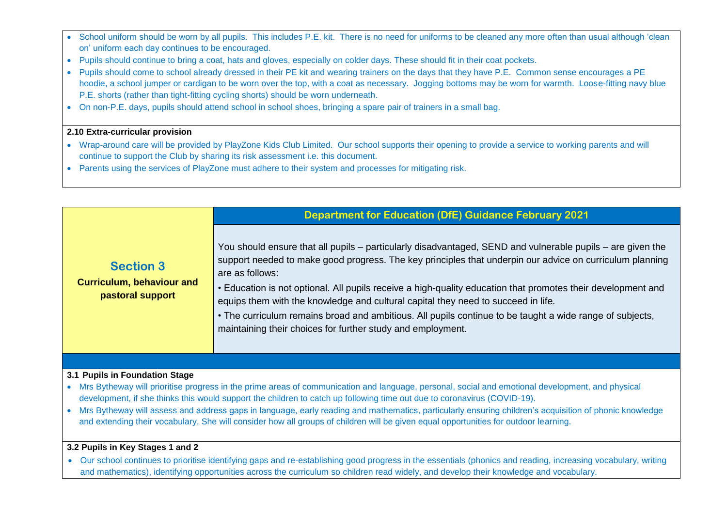- School uniform should be worn by all pupils. This includes P.E. kit. There is no need for uniforms to be cleaned any more often than usual although 'clean on' uniform each day continues to be encouraged.
- Pupils should continue to bring a coat, hats and gloves, especially on colder days. These should fit in their coat pockets.
- Pupils should come to school already dressed in their PE kit and wearing trainers on the days that they have P.E. Common sense encourages a PE hoodie, a school jumper or cardigan to be worn over the top, with a coat as necessary. Jogging bottoms may be worn for warmth. Loose-fitting navy blue P.E. shorts (rather than tight-fitting cycling shorts) should be worn underneath.
- On non-P.E. days, pupils should attend school in school shoes, bringing a spare pair of trainers in a small bag.

## **2.10 Extra-curricular provision**

- Wrap-around care will be provided by PlayZone Kids Club Limited. Our school supports their opening to provide a service to working parents and will continue to support the Club by sharing its risk assessment i.e. this document.
- Parents using the services of PlayZone must adhere to their system and processes for mitigating risk.

|                                                                                                                                                                                   | <b>Department for Education (DfE) Guidance February 2021</b>                                                                                                                                                                                                                                                                                                                                                                                                                                                                                                                                                              |
|-----------------------------------------------------------------------------------------------------------------------------------------------------------------------------------|---------------------------------------------------------------------------------------------------------------------------------------------------------------------------------------------------------------------------------------------------------------------------------------------------------------------------------------------------------------------------------------------------------------------------------------------------------------------------------------------------------------------------------------------------------------------------------------------------------------------------|
| <b>Section 3</b><br><b>Curriculum, behaviour and</b><br>pastoral support                                                                                                          | You should ensure that all pupils – particularly disadvantaged, SEND and vulnerable pupils – are given the<br>support needed to make good progress. The key principles that underpin our advice on curriculum planning<br>are as follows:<br>• Education is not optional. All pupils receive a high-quality education that promotes their development and<br>equips them with the knowledge and cultural capital they need to succeed in life.<br>• The curriculum remains broad and ambitious. All pupils continue to be taught a wide range of subjects,<br>maintaining their choices for further study and employment. |
|                                                                                                                                                                                   |                                                                                                                                                                                                                                                                                                                                                                                                                                                                                                                                                                                                                           |
| 3.1 Pupils in Foundation Stage<br>Mrs Buthoway will priorities prograps in the prime areas of communication and language personal, social and emotional development, and physical |                                                                                                                                                                                                                                                                                                                                                                                                                                                                                                                                                                                                                           |

- Mrs Bytheway will prioritise progress in the prime areas of communication and language, personal, social and emotional development, and physical development, if she thinks this would support the children to catch up following time out due to coronavirus (COVID-19).
- Mrs Bytheway will assess and address gaps in language, early reading and mathematics, particularly ensuring children's acquisition of phonic knowledge and extending their vocabulary. She will consider how all groups of children will be given equal opportunities for outdoor learning.

## **3.2 Pupils in Key Stages 1 and 2**

• Our school continues to prioritise identifying gaps and re-establishing good progress in the essentials (phonics and reading, increasing vocabulary, writing and mathematics), identifying opportunities across the curriculum so children read widely, and develop their knowledge and vocabulary.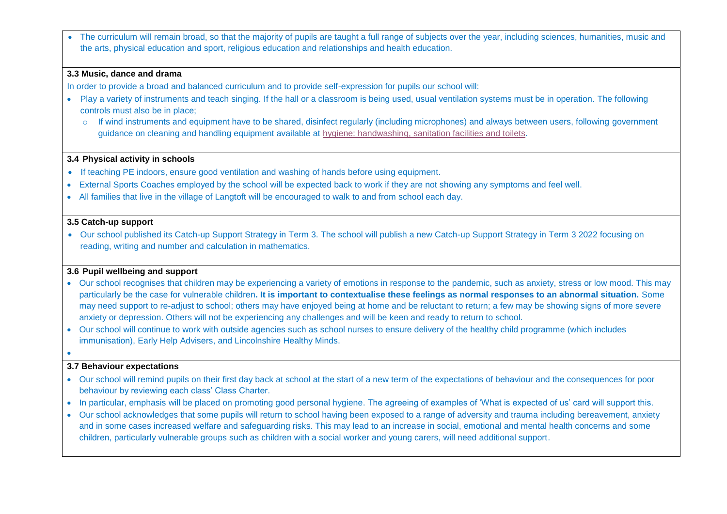The curriculum will remain broad, so that the majority of pupils are taught a full range of subjects over the year, including sciences, humanities, music and the arts, physical education and sport, religious education and relationships and health education.

#### **3.3 Music, dance and drama**

In order to provide a broad and balanced curriculum and to provide self-expression for pupils our school will:

- Play a variety of instruments and teach singing. If the hall or a classroom is being used, usual ventilation systems must be in operation. The following controls must also be in place;
	- o If wind instruments and equipment have to be shared, disinfect regularly (including microphones) and always between users, following government guidance on cleaning and handling equipment available at [hygiene: handwashing, sanitation facilities and toilets.](https://www.gov.uk/guidance/working-safely-during-coronavirus-covid-19/factories-plants-and-warehouses#factories-5-5)

#### **3.4 Physical activity in schools**

- If teaching PE indoors, ensure good ventilation and washing of hands before using equipment.
- External Sports Coaches employed by the school will be expected back to work if they are not showing any symptoms and feel well.
- All families that live in the village of Langtoft will be encouraged to walk to and from school each day.

#### **3.5 Catch-up support**

• Our school published its Catch-up Support Strategy in Term 3. The school will publish a new Catch-up Support Strategy in Term 3 2022 focusing on reading, writing and number and calculation in mathematics.

## **3.6 Pupil wellbeing and support**

- Our school recognises that children may be experiencing a variety of emotions in response to the pandemic, such as anxiety, stress or low mood. This may particularly be the case for vulnerable children**. It is important to contextualise these feelings as normal responses to an abnormal situation.** Some may need support to re-adjust to school; others may have enjoyed being at home and be reluctant to return; a few may be showing signs of more severe anxiety or depression. Others will not be experiencing any challenges and will be keen and ready to return to school.
- Our school will continue to work with outside agencies such as school nurses to ensure delivery of the healthy child programme (which includes immunisation), Early Help Advisers, and Lincolnshire Healthy Minds.
- •

#### **3.7 Behaviour expectations**

- Our school will remind pupils on their first day back at school at the start of a new term of the expectations of behaviour and the consequences for poor behaviour by reviewing each class' Class Charter.
- In particular, emphasis will be placed on promoting good personal hygiene. The agreeing of examples of 'What is expected of us' card will support this.
- Our school acknowledges that some pupils will return to school having been exposed to a range of adversity and trauma including bereavement, anxiety and in some cases increased welfare and safeguarding risks. This may lead to an increase in social, emotional and mental health concerns and some children, particularly vulnerable groups such as children with a social worker and young carers, will need additional support.